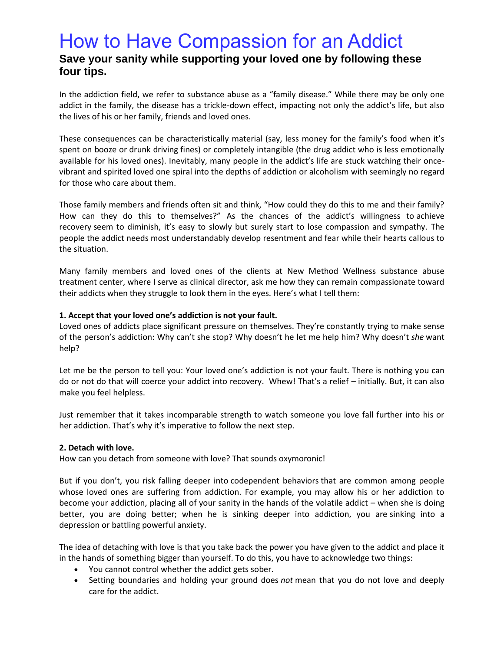## How to Have Compassion for an Addict

## **Save your sanity while supporting your loved one by following these four tips.**

In the addiction field, we refer to substance abuse as a "family disease." While there may be only one addict in the family, the disease has a trickle-down effect, impacting not only the addict's life, but also the lives of his or her family, friends and loved ones.

These consequences can be characteristically material (say, less money for the family's food when it's spent on booze or [drunk driving](http://health.usnews.com/health-news/health-wellness/slideshows/9-reasons-it-rocks-to-be-the-dd) fines) or completely intangible (the drug addict who is less emotionally available for his loved ones). Inevitably, many people in the addict's life are stuck watching their oncevibrant and spirited loved one spiral into the depths of addiction or alcoholism with seemingly no regard for those who care about them.

Those family members and friends often sit and think, "How could they do this to me and their family? How can they do this to themselves?" As the chances of the addict's willingness to [achieve](http://health.usnews.com/health-news/patient-advice/articles/2016-08-08/why-desperation-can-be-a-gift-for-people-recovering-from-addictions)  [recovery](http://health.usnews.com/health-news/patient-advice/articles/2016-08-08/why-desperation-can-be-a-gift-for-people-recovering-from-addictions) seem to diminish, it's easy to slowly but surely start to lose compassion and sympathy. The people the addict needs most understandably develop resentment and fear while their hearts callous to the situation.

Many family members and loved ones of the clients at New Method Wellness substance abuse treatment center, where I serve as clinical director, ask me how they can remain compassionate toward their addicts when they struggle to look them in the eyes. Here's what I tell them:

### **1. Accept that your loved one's addiction is not your fault.**

Loved ones of addicts place significant pressure on themselves. They're constantly trying to make sense of the person's addiction: Why can't she stop? Why doesn't he let me help him? Why doesn't *she* want help?

Let me be the person to tell you: Your loved one's addiction is not your fault. There is nothing you can do or not do that will coerce your addict into recovery. Whew! That's a relief – initially. But, it can also make you feel helpless.

Just remember that it takes incomparable strength to watch someone you love fall further into his or her addiction. That's why it's imperative to follow the next step.

### **2. Detach with love.**

How can you detach from someone with love? That sounds oxymoronic!

But if you don't, you risk falling deeper into [codependent behaviors](http://health.usnews.com/wellness/articles/2016-10-06/3-common-marriage-vows-that-may-actually-be-unhealthy) that are common among people whose loved ones are suffering from addiction. For example, you may allow his or her addiction to become your addiction, placing all of your sanity in the hands of the volatile addict – when she is doing better, you are doing better; when he is sinking deeper into addiction, you are [sinking into a](http://health.usnews.com/wellness/articles/2016-08-18/is-mom-and-dads-depression-making-the-kids-wild)  [depression](http://health.usnews.com/wellness/articles/2016-08-18/is-mom-and-dads-depression-making-the-kids-wild) or battling powerful anxiety.

The idea of detaching with love is that you take back the power you have given to the addict and place it in the hands of something bigger than yourself. To do this, you have to acknowledge two things:

- You cannot control whether the addict gets sober.
- Setting boundaries and holding your ground does *not* mean that you do not love and deeply care for the addict.